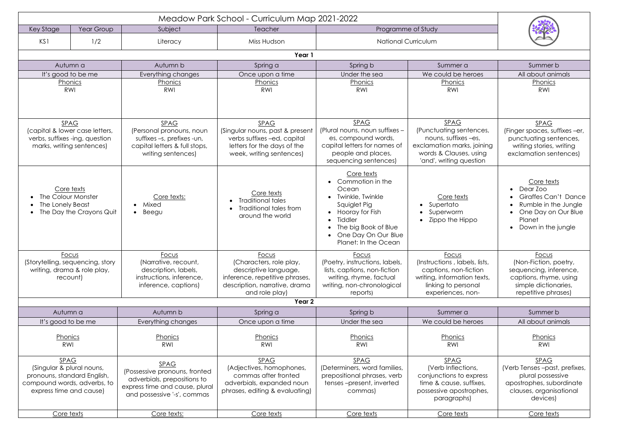| Year Group<br>Key Stage                  |                                           | Subject                                                       | Meadow Park School - Curriculum Map 2021-2022<br>Teacher | Programme of Study                                 |                                                      |                                                    |  |  |  |
|------------------------------------------|-------------------------------------------|---------------------------------------------------------------|----------------------------------------------------------|----------------------------------------------------|------------------------------------------------------|----------------------------------------------------|--|--|--|
| KS1                                      | 1/2                                       | Literacy                                                      | Miss Hudson                                              | <b>National Curriculum</b>                         |                                                      |                                                    |  |  |  |
|                                          |                                           |                                                               |                                                          |                                                    |                                                      |                                                    |  |  |  |
| Year 1                                   |                                           |                                                               |                                                          |                                                    |                                                      |                                                    |  |  |  |
|                                          | Autumn a                                  | Autumn b                                                      | Spring a                                                 | Spring b                                           | Summer a                                             | Summer b                                           |  |  |  |
|                                          | It's good to be me                        | Everything changes                                            | Once upon a time                                         | Under the sea                                      | We could be heroes                                   | All about animals                                  |  |  |  |
|                                          | Phonics<br><b>RWI</b>                     | Phonics<br><b>RWI</b>                                         | Phonics<br><b>RWI</b>                                    | Phonics<br><b>RWI</b>                              | Phonics<br>RWI                                       | Phonics<br>RWI                                     |  |  |  |
|                                          |                                           |                                                               |                                                          |                                                    |                                                      |                                                    |  |  |  |
|                                          |                                           |                                                               |                                                          |                                                    |                                                      |                                                    |  |  |  |
|                                          | <b>SPAG</b>                               | <b>SPAG</b>                                                   | <b>SPAG</b>                                              | <b>SPAG</b>                                        | <b>SPAG</b>                                          | <b>SPAG</b>                                        |  |  |  |
|                                          | (capital & lower case letters,            | (Personal pronouns, noun                                      | (Singular nouns, past & present                          | (Plural nouns, noun suffixes -                     | (Punctuating sentences,                              | (Finger spaces, suffixes -er,                      |  |  |  |
|                                          | verbs, suffixes -ing, question            | suffixes -s, prefixes -un,                                    | verbs suffixes -ed, capital                              | es, compound words,                                | nouns, suffixes -es,                                 | punctuating sentences,                             |  |  |  |
|                                          | marks, writing sentences)                 | capital letters & full stops,<br>writing sentences)           | letters for the days of the<br>week, writing sentences)  | capital letters for names of<br>people and places, | exclamation marks, joining<br>words & Clauses, using | writing stories, writing<br>exclamation sentences) |  |  |  |
|                                          |                                           |                                                               |                                                          | sequencing sentences)                              | 'and', writing question                              |                                                    |  |  |  |
|                                          |                                           |                                                               |                                                          | Core texts                                         |                                                      |                                                    |  |  |  |
|                                          |                                           |                                                               |                                                          | Commotion in the                                   |                                                      | Core texts                                         |  |  |  |
|                                          | Core texts                                |                                                               | Core texts                                               | Ocean                                              |                                                      | Dear Zoo<br>$\bullet$                              |  |  |  |
|                                          | The Colour Monster                        | Core texts:                                                   | <b>Traditional tales</b>                                 | <b>Twinkle, Twinkle</b>                            | Core texts                                           | <b>Giraffes Can't Dance</b>                        |  |  |  |
| The Lonely Beast                         | The Day the Crayons Quit                  | Mixed<br>$\bullet$<br>Beegu<br>$\bullet$                      | Traditional tales from                                   | Squiglet Pig<br>Hooray for Fish                    | • Supertato<br>Superworm                             | Rumble in the Jungle<br>One Day on Our Blue        |  |  |  |
|                                          |                                           |                                                               | around the world                                         | Tiddler                                            | Zippo the Hippo                                      | Planet                                             |  |  |  |
|                                          |                                           |                                                               |                                                          | The big Book of Blue                               |                                                      | Down in the jungle                                 |  |  |  |
|                                          |                                           |                                                               |                                                          | One Day On Our Blue<br>Planet: In the Ocean        |                                                      |                                                    |  |  |  |
|                                          |                                           |                                                               |                                                          |                                                    |                                                      |                                                    |  |  |  |
|                                          | Focus<br>(Storytelling, sequencing, story | Focus<br>(Narrative, recount,                                 | Focus<br>(Characters, role play,                         | Focus<br>(Poetry, instructions, labels,            | Focus<br>(Instructions, labels, lists,               | Focus<br>(Non-Fiction, poetry,                     |  |  |  |
|                                          | writing, drama & role play,               | description, labels,                                          | descriptive language,                                    | lists, captions, non-fiction                       | captions, non-fiction                                | sequencing, inference,                             |  |  |  |
| recount)                                 |                                           | instructions, inference,                                      | inference, repetitive phrases,                           | writing, rhyme, factual                            | writing, information texts,                          | captions, rhyme, using                             |  |  |  |
|                                          |                                           | inference, captions)                                          | description, narrative, drama                            | writing, non-chronological                         | linking to personal                                  | simple dictionaries,                               |  |  |  |
|                                          |                                           |                                                               | and role play)                                           | reports)                                           | experiences, non-                                    | repetitive phrases)                                |  |  |  |
|                                          |                                           |                                                               | Year <sub>2</sub>                                        |                                                    |                                                      |                                                    |  |  |  |
|                                          | Autumn a                                  | Autumn b                                                      | Spring a                                                 | Spring b                                           | Summer a                                             | Summer b                                           |  |  |  |
|                                          | It's good to be me                        | Everything changes                                            | Once upon a time                                         | Under the sea                                      | We could be heroes                                   | All about animals                                  |  |  |  |
|                                          | Phonics                                   | Phonics                                                       | Phonics                                                  | Phonics                                            | Phonics                                              | Phonics                                            |  |  |  |
| RWI                                      |                                           | RWI                                                           | <b>RWI</b>                                               | RWI                                                | RWI                                                  | RWI                                                |  |  |  |
|                                          |                                           |                                                               |                                                          |                                                    |                                                      |                                                    |  |  |  |
| <b>SPAG</b><br>(Singular & plural nouns, |                                           | <b>SPAG</b>                                                   | <b>SPAG</b><br>(Adjectives, homophones,                  | <b>SPAG</b><br>(Determiners, word families,        | <b>SPAG</b><br>(Verb Inflections,                    | <b>SPAG</b><br>(Verb Tenses-past, prefixes,        |  |  |  |
| pronouns, standard English,              |                                           | (Possessive pronouns, fronted                                 | commas after fronted                                     | prepositional phrases, verb                        | conjunctions to express                              | plural possessive                                  |  |  |  |
| compound words, adverbs, to              |                                           | adverbials, prepositions to<br>express time and cause, plural | adverbials, expanded noun                                | tenses-present, inverted                           | time & cause, suffixes,                              | apostrophes, subordinate                           |  |  |  |
| express time and cause)                  |                                           | and possessive '-s', commas                                   | phrases, editing & evaluating)                           | commas)                                            | possessive apostrophes,                              | clauses, organisational                            |  |  |  |
|                                          |                                           |                                                               |                                                          |                                                    | paragraphs)                                          | devices)                                           |  |  |  |
| Core texts                               |                                           | Core texts:                                                   | Core texts                                               | Core texts                                         | Core texts                                           | Core texts                                         |  |  |  |

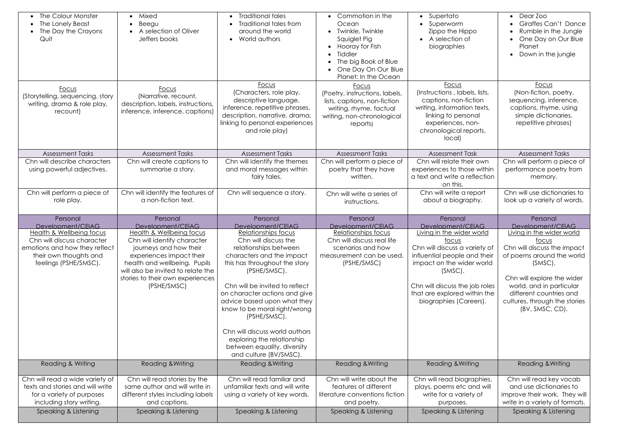| The Colour Monster<br>The Lonely Beast<br>The Day the Crayons<br>Quit                                                        | • Mixed<br>Beegu<br>A selection of Oliver<br>Jeffers books                                                            | <b>Traditional tales</b><br><b>Traditional tales from</b><br>around the world<br>• World authors                                                                                                | Commotion in the<br>Ocean<br><b>Twinkle, Twinkle</b><br>Squiglet Pig<br>Hooray for Fish<br>Tiddler<br>The big Book of Blue<br>One Day On Our Blue<br>Planet: In the Ocean | • Supertato<br>Superworm<br>Zippo the Hippo<br>• A selection of<br>biographies                                                                                                 | • Dear Zoo<br><b>Giraffes Can't Dance</b><br>Rumble in the Jungle<br>One Day on Our Blue<br>Planet<br>Down in the jungle                         |
|------------------------------------------------------------------------------------------------------------------------------|-----------------------------------------------------------------------------------------------------------------------|-------------------------------------------------------------------------------------------------------------------------------------------------------------------------------------------------|---------------------------------------------------------------------------------------------------------------------------------------------------------------------------|--------------------------------------------------------------------------------------------------------------------------------------------------------------------------------|--------------------------------------------------------------------------------------------------------------------------------------------------|
| Focus<br>(Storytelling, sequencing, story<br>writing, drama & role play,<br>recount)                                         | Focus<br>(Narrative, recount,<br>description, labels, instructions,<br>inference, inference, captions)                | Focus<br>(Characters, role play,<br>descriptive language,<br>inference, repetitive phrases,<br>description, narrative, drama,<br>linking to personal experiences<br>and role play)              | Focus<br>(Poetry, instructions, labels,<br>lists, captions, non-fiction<br>writing, rhyme, factual<br>writing, non-chronological<br>reports)                              | Focus<br>(Instructions, labels, lists,<br>captions, non-fiction<br>writing, information texts,<br>linking to personal<br>experiences, non-<br>chronological reports,<br>local) | Focus<br>(Non-fiction, poetry,<br>sequencing, inference,<br>captions, rhyme, using<br>simple dictionaries,<br>repetitive phrases)                |
| <b>Assessment Tasks</b>                                                                                                      | <b>Assessment Tasks</b>                                                                                               | <b>Assessment Tasks</b>                                                                                                                                                                         | <b>Assessment Tasks</b>                                                                                                                                                   | <b>Assessment Task</b>                                                                                                                                                         | <b>Assessment Tasks</b>                                                                                                                          |
| Chn will describe characters<br>using powerful adjectives.                                                                   | Chn will create captions to<br>summarise a story.                                                                     | Chn will identify the themes<br>and moral messages within<br>fairy tales.                                                                                                                       | Chn will perform a piece of<br>poetry that they have<br>written.                                                                                                          | Chn will relate their own<br>experiences to those within<br>a text and write a reflection<br>on this.                                                                          | Chn will perform a piece of<br>performance poetry from<br>memory.                                                                                |
| Chn will perform a piece of<br>role play.                                                                                    | Chn will identify the features of<br>a non-fiction text.                                                              | Chn will sequence a story.                                                                                                                                                                      | Chn will write a series of<br>instructions.                                                                                                                               | Chn will write a report<br>about a biography.                                                                                                                                  | Chn will use dictionaries to<br>look up a variety of words.                                                                                      |
|                                                                                                                              |                                                                                                                       |                                                                                                                                                                                                 |                                                                                                                                                                           |                                                                                                                                                                                |                                                                                                                                                  |
| Personal<br>Development/CEIAG                                                                                                | Personal<br>Development/CFIAG                                                                                         | Personal<br>Development/CEIAG                                                                                                                                                                   | Personal<br>Development/CEIAG                                                                                                                                             | Personal<br>Development/CEIAG                                                                                                                                                  | Personal<br>Development/CEIAG                                                                                                                    |
| Health & Wellbeing focus<br>Chn will discuss character<br>emotions and how they reflect<br>their own thoughts and            | Health & Wellbeing focus<br>Chn will identify character<br>journeys and how their<br>experiences impact their         | Relationships focus<br>Chn will discuss the<br>relationships between<br>characters and the impact                                                                                               | Relationships focus<br>Chn will discuss real life<br>scenarios and how<br>measurement can be used.                                                                        | Living in the wider world<br><u>focus</u><br>Chn will discuss a variety of<br>influential people and their                                                                     | Living in the wider world<br><u>focus</u><br>Chn will discuss the impact<br>of poems around the world                                            |
| feelings (PSHE/SMSC).                                                                                                        | health and wellbeing. Pupils<br>will also be invited to relate the<br>stories to their own experiences<br>(PSHE/SMSC) | this has throughout the story<br>(PSHE/SMSC).<br>Chn will be invited to reflect<br>on character actions and give<br>advice based upon what they<br>know to be moral right/wrong<br>(PSHE/SMSC). | (PSHE/SMSC)                                                                                                                                                               | impact on the wider world<br>$(SMSC)$ .<br>Chn will discuss the job roles<br>that are explored within the<br>biographies (Careers).                                            | (SMSC).<br>Chn will explore the wider<br>world, and in particular<br>different countries and<br>cultures, through the stories<br>(BV, SMSC, CD). |
|                                                                                                                              |                                                                                                                       | Chn will discuss world authors<br>exploring the relationship<br>between equality, diversity<br>and culture (BV/SMSC).                                                                           |                                                                                                                                                                           |                                                                                                                                                                                |                                                                                                                                                  |
| Reading & Writing                                                                                                            | <b>Reading &amp; Writing</b>                                                                                          | Reading & Writing                                                                                                                                                                               | Reading & Writing                                                                                                                                                         | Reading & Writing                                                                                                                                                              | <b>Reading &amp; Writing</b>                                                                                                                     |
| Chn will read a wide variety of<br>texts and stories and will write<br>for a variety of purposes<br>including story writing. | Chn will read stories by the<br>same author and will write in<br>different styles including labels<br>and captions.   | Chn will read familiar and<br>unfamiliar texts and will write<br>using a variety of key words.                                                                                                  | Chn will write about the<br>features of different<br>literature conventions fiction<br>and poetry.                                                                        | Chn will read biographies,<br>plays, poems etc and will<br>write for a variety of<br>purposes.                                                                                 | Chn will read key vocab<br>and use dictionaries to<br>improve their work. They will<br>write in a variety of formats.                            |